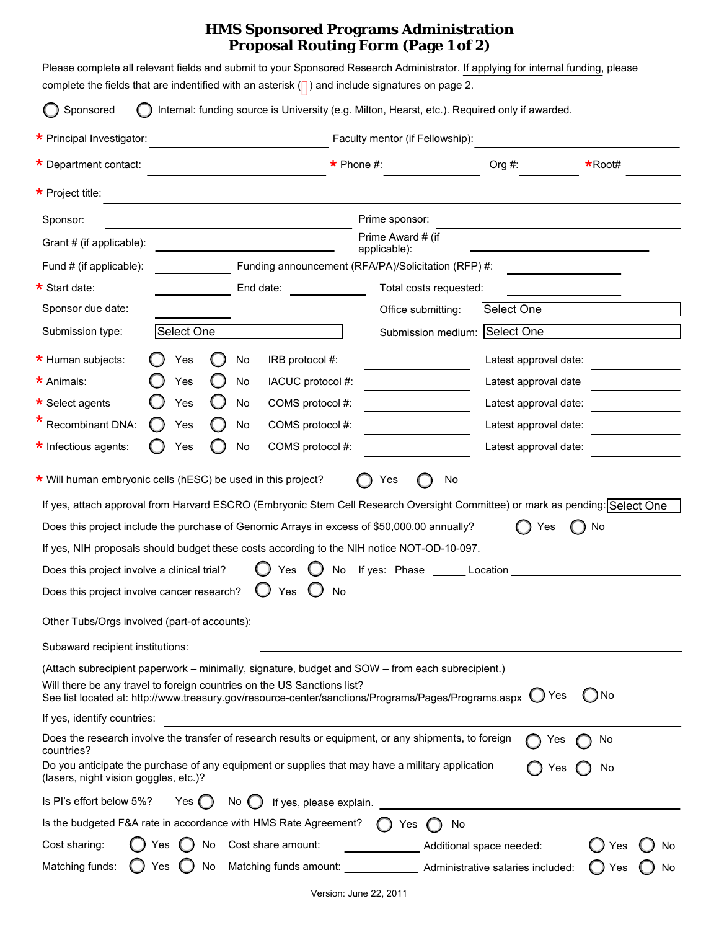## **HMS Sponsored Programs Administration Proposal Routing Form (Page 1 of 2)**

| Sponsored                                                                                                                                                                                                                                                                                                           |     |               |                  |                   | Internal: funding source is University (e.g. Milton, Hearst, etc.). Required only if awarded. |                                   |                                                                            |                               |                                                                                                                                    |
|---------------------------------------------------------------------------------------------------------------------------------------------------------------------------------------------------------------------------------------------------------------------------------------------------------------------|-----|---------------|------------------|-------------------|-----------------------------------------------------------------------------------------------|-----------------------------------|----------------------------------------------------------------------------|-------------------------------|------------------------------------------------------------------------------------------------------------------------------------|
| * Principal Investigator:                                                                                                                                                                                                                                                                                           |     |               |                  |                   |                                                                                               | Faculty mentor (if Fellowship):   |                                                                            |                               |                                                                                                                                    |
| * Department contact:                                                                                                                                                                                                                                                                                               |     |               | $\star$ Phone #: |                   |                                                                                               |                                   | Org #:                                                                     | $\star$ Root#                 |                                                                                                                                    |
| $\star$ Project title:                                                                                                                                                                                                                                                                                              |     |               |                  |                   |                                                                                               |                                   |                                                                            |                               |                                                                                                                                    |
| Sponsor:                                                                                                                                                                                                                                                                                                            |     |               |                  |                   |                                                                                               | Prime sponsor:                    |                                                                            |                               |                                                                                                                                    |
| Grant # (if applicable):                                                                                                                                                                                                                                                                                            |     |               |                  |                   |                                                                                               | Prime Award # (if<br>applicable): |                                                                            |                               |                                                                                                                                    |
| Fund # (if applicable):                                                                                                                                                                                                                                                                                             |     |               |                  |                   | Funding announcement (RFA/PA)/Solicitation (RFP) #:                                           |                                   |                                                                            |                               |                                                                                                                                    |
| * Start date:                                                                                                                                                                                                                                                                                                       |     |               | End date:        |                   | Total costs requested:                                                                        |                                   |                                                                            |                               |                                                                                                                                    |
| Sponsor due date:                                                                                                                                                                                                                                                                                                   |     |               |                  |                   |                                                                                               | Office submitting:                |                                                                            | Select One                    |                                                                                                                                    |
| Submission type:<br>Select One                                                                                                                                                                                                                                                                                      |     |               |                  |                   |                                                                                               |                                   |                                                                            | Submission medium: Select One |                                                                                                                                    |
| * Human subjects:                                                                                                                                                                                                                                                                                                   |     | Yes           |                  | No                | IRB protocol #:                                                                               |                                   |                                                                            | Latest approval date:         |                                                                                                                                    |
| * Animals:                                                                                                                                                                                                                                                                                                          |     | Yes           |                  | No                | IACUC protocol #:                                                                             |                                   |                                                                            | Latest approval date          |                                                                                                                                    |
| $\star$ Select agents                                                                                                                                                                                                                                                                                               |     | Yes           |                  | No                | COMS protocol #:                                                                              |                                   |                                                                            | Latest approval date:         |                                                                                                                                    |
| Recombinant DNA:                                                                                                                                                                                                                                                                                                    |     | Yes           |                  | No                | COMS protocol #:                                                                              |                                   |                                                                            | Latest approval date:         |                                                                                                                                    |
| * Infectious agents:                                                                                                                                                                                                                                                                                                |     | Yes           |                  | No                | COMS protocol #:                                                                              |                                   |                                                                            | Latest approval date:         |                                                                                                                                    |
| Does this project include the purchase of Genomic Arrays in excess of \$50,000.00 annually?<br>If yes, NIH proposals should budget these costs according to the NIH notice NOT-OD-10-097.<br>Does this project involve a clinical trial?<br>Does this project involve cancer research? $\bigcirc$ Yes $\bigcirc$ No |     |               |                  |                   | Yes                                                                                           | No If yes: Phase Location         |                                                                            | es                            | If yes, attach approval from Harvard ESCRO (Embryonic Stem Cell Research Oversight Committee) or mark as pending: Select One<br>No |
| Other Tubs/Orgs involved (part-of accounts):                                                                                                                                                                                                                                                                        |     |               |                  |                   |                                                                                               |                                   |                                                                            |                               |                                                                                                                                    |
| Subaward recipient institutions:                                                                                                                                                                                                                                                                                    |     |               |                  |                   |                                                                                               |                                   |                                                                            |                               |                                                                                                                                    |
| (Attach subrecipient paperwork – minimally, signature, budget and SOW – from each subrecipient.)                                                                                                                                                                                                                    |     |               |                  |                   |                                                                                               |                                   |                                                                            |                               |                                                                                                                                    |
| Will there be any travel to foreign countries on the US Sanctions list?<br>See list located at: http://www.treasury.gov/resource-center/sanctions/Programs/Pages/Programs.aspx (C) Yes                                                                                                                              |     |               |                  |                   |                                                                                               |                                   |                                                                            |                               | ) No                                                                                                                               |
| If yes, identify countries:                                                                                                                                                                                                                                                                                         |     |               |                  |                   |                                                                                               |                                   |                                                                            |                               |                                                                                                                                    |
| Does the research involve the transfer of research results or equipment, or any shipments, to foreign<br>countries?<br>Do you anticipate the purchase of any equipment or supplies that may have a military application<br>(lasers, night vision goggles, etc.)?                                                    |     |               |                  |                   |                                                                                               |                                   |                                                                            |                               | No<br>Yes<br>Yes<br>No                                                                                                             |
| Is Pl's effort below 5%?                                                                                                                                                                                                                                                                                            |     | Yes $\bigcap$ |                  | No $\binom{1}{2}$ | If yes, please explain.                                                                       |                                   |                                                                            |                               |                                                                                                                                    |
| Is the budgeted F&A rate in accordance with HMS Rate Agreement?                                                                                                                                                                                                                                                     |     |               |                  |                   |                                                                                               | $\bigcap$ Yes                     | No.                                                                        |                               |                                                                                                                                    |
| Cost sharing:                                                                                                                                                                                                                                                                                                       | Yes |               | No               |                   | Cost share amount:                                                                            |                                   |                                                                            | Additional space needed:      | No<br>Yes                                                                                                                          |
|                                                                                                                                                                                                                                                                                                                     |     |               |                  |                   |                                                                                               |                                   | Matching funds amount: _________________ Administrative salaries included: |                               |                                                                                                                                    |